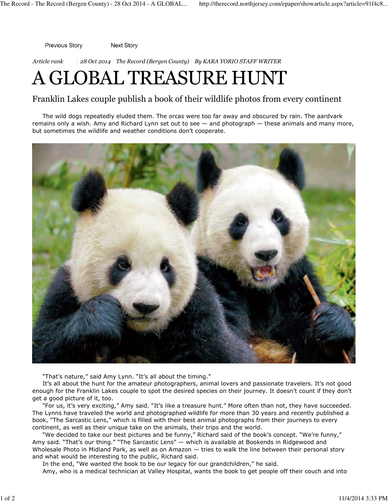Previous Story Next Story

Article rank  $\vert$  28 Oct 2014 | The Record (Bergen County) | By KARA YORIO STAFF WRITER

## A GLOBAL TREASURE HUNT

## Franklin Lakes couple publish a book of their wildlife photos from every continent

The wild dogs repeatedly eluded them. The orcas were too far away and obscured by rain. The aardvark remains only a wish. Amy and Richard Lynn set out to see — and photograph — these animals and many more, but sometimes the wildlife and weather conditions don't cooperate.



"That's nature," said Amy Lynn. "It's all about the timing."

It's all about the hunt for the amateur photographers, animal lovers and passionate travelers. It's not good enough for the Franklin Lakes couple to spot the desired species on their journey. It doesn't count if they don't get a good picture of it, too.

"For us, it's very exciting," Amy said. "It's like a treasure hunt." More often than not, they have succeeded. The Lynns have traveled the world and photographed wildlife for more than 30 years and recently published a book, "The Sarcastic Lens," which is filled with their best animal photographs from their journeys to every continent, as well as their unique take on the animals, their trips and the world.

"We decided to take our best pictures and be funny," Richard said of the book's concept. "We're funny," Amy said. "That's our thing." "The Sarcastic Lens" — which is available at Bookends in Ridgewood and Wholesale Photo in Midland Park, as well as on Amazon — tries to walk the line between their personal story and what would be interesting to the public, Richard said.

In the end, "We wanted the book to be our legacy for our grandchildren," he said.

Amy, who is a medical technician at Valley Hospital, wants the book to get people off their couch and into